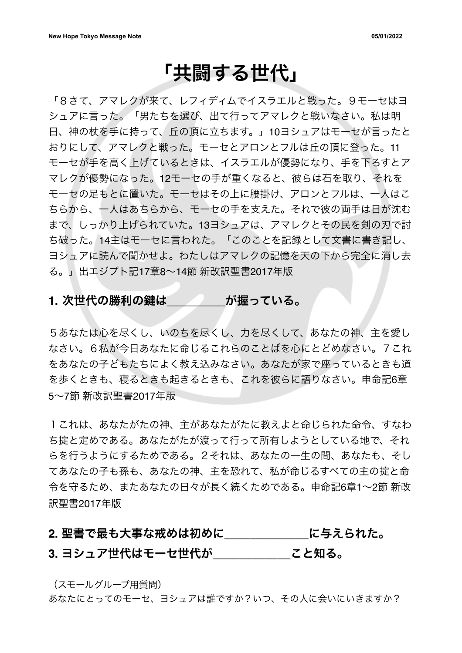## 「共闘する世代」

「8さて、アマレクが来て、レフィディムでイスラエルと戦った。9モーセはヨ シュアに言った。「男たちを選び、出て行ってアマレクと戦いなさい。私は明 日、神の杖を手に持って、丘の頂に立ちます。」10ヨシュアはモーセが言ったと おりにして、アマレクと戦った。モーセとアロンとフルは丘の頂に登った。11 モーセが手を高く上げているときは、イスラエルが優勢になり、手を下ろすとア マレクが優勢になった。12モーセの手が重くなると、彼らは石を取り、それを モーセの足もとに置いた。モーセはその上に腰掛け、アロンとフルは、一人はこ ちらから、一人はあちらから、モーセの手を支えた。それで彼の両手は日が沈む まで、しっかり上げられていた。13ヨシュアは、アマレクとその民を剣の刃で討 ち破った。14主はモーセに言われた。「このことを記録として文書に書き記し、 ヨシュアに読んで聞かせよ。わたしはアマレクの記憶を天の下から完全に消し去 る。」出エジプト記17章8~14節 新改訳聖書2017年版

#### **1.** 次世代の勝利の伴は**\_\_\_\_\_\_\_\_\_**が握っている。

5あなたは心を尽くし、いのちを尽くし、力を尽くして、あなたの神、主を愛し なさい。6私が今日あなたに命じるこれらのことばを心にとどめなさい。7これ をあなたの子どもたちによく教え込みなさい。あなたが家で座っているときも道 を歩くときも、寝るときも起きるときも、これを彼らに語りなさい。申命記6章 5~7節 新改訳聖書2017年版

1これは、あなたがたの神、主があなたがたに教えよと命じられた命令、すなわ ち掟と定めである。あなたがたが渡って行って所有しようとしている地で、それ らを行うようにするためである。2それは、あなたの一生の間、あなたも、そし てあなたの子も孫も、あなたの神、主を恐れて、私が命じるすべての主の掟と命 令を守るため、またあなたの日々が長く続くためである。申命記6章1~2節 新改 訳聖書2017年版

### **2.** 聖書で最も大事な戒めは初めに**\_\_\_\_\_\_\_\_\_\_\_\_\_**に与えられた。 **3.** ヨシュア世代はモーセ世代が**\_\_\_\_\_\_\_\_\_\_\_\_**こと知る。

(スモールグループ用質問)

あなたにとってのモーセ、ヨシュアは誰ですか?いつ、その人に会いにいきますか?